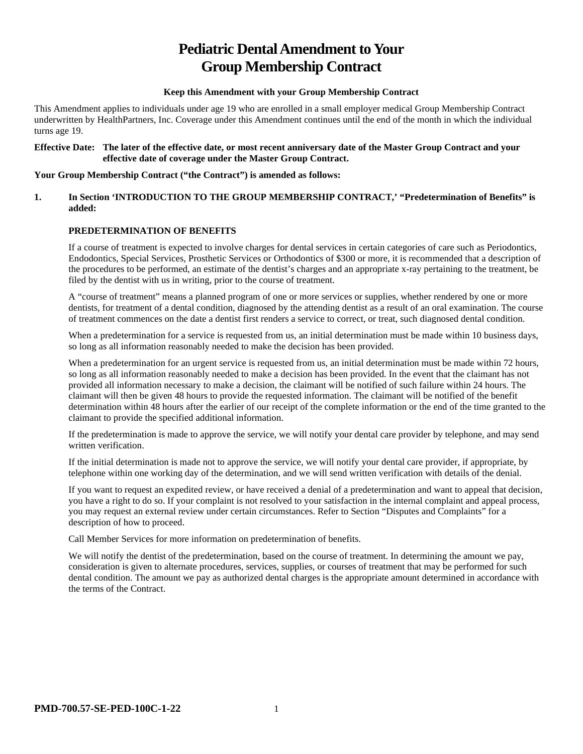# **Pediatric Dental Amendment to Your Group Membership Contract**

#### **Keep this Amendment with your Group Membership Contract**

This Amendment applies to individuals under age 19 who are enrolled in a small employer medical Group Membership Contract underwritten by HealthPartners, Inc. Coverage under this Amendment continues until the end of the month in which the individual turns age 19.

#### **Effective Date: The later of the effective date, or most recent anniversary date of the Master Group Contract and your effective date of coverage under the Master Group Contract.**

#### **Your Group Membership Contract ("the Contract") is amended as follows:**

#### **1. In Section 'INTRODUCTION TO THE GROUP MEMBERSHIP CONTRACT,' "Predetermination of Benefits" is added:**

# **PREDETERMINATION OF BENEFITS**

If a course of treatment is expected to involve charges for dental services in certain categories of care such as Periodontics, Endodontics, Special Services, Prosthetic Services or Orthodontics of \$300 or more, it is recommended that a description of the procedures to be performed, an estimate of the dentist's charges and an appropriate x-ray pertaining to the treatment, be filed by the dentist with us in writing, prior to the course of treatment.

A "course of treatment" means a planned program of one or more services or supplies, whether rendered by one or more dentists, for treatment of a dental condition, diagnosed by the attending dentist as a result of an oral examination. The course of treatment commences on the date a dentist first renders a service to correct, or treat, such diagnosed dental condition.

When a predetermination for a service is requested from us, an initial determination must be made within 10 business days, so long as all information reasonably needed to make the decision has been provided.

When a predetermination for an urgent service is requested from us, an initial determination must be made within 72 hours, so long as all information reasonably needed to make a decision has been provided. In the event that the claimant has not provided all information necessary to make a decision, the claimant will be notified of such failure within 24 hours. The claimant will then be given 48 hours to provide the requested information. The claimant will be notified of the benefit determination within 48 hours after the earlier of our receipt of the complete information or the end of the time granted to the claimant to provide the specified additional information.

If the predetermination is made to approve the service, we will notify your dental care provider by telephone, and may send written verification.

If the initial determination is made not to approve the service, we will notify your dental care provider, if appropriate, by telephone within one working day of the determination, and we will send written verification with details of the denial.

If you want to request an expedited review, or have received a denial of a predetermination and want to appeal that decision, you have a right to do so. If your complaint is not resolved to your satisfaction in the internal complaint and appeal process, you may request an external review under certain circumstances. Refer to Section "Disputes and Complaints" for a description of how to proceed.

Call Member Services for more information on predetermination of benefits.

We will notify the dentist of the predetermination, based on the course of treatment. In determining the amount we pay, consideration is given to alternate procedures, services, supplies, or courses of treatment that may be performed for such dental condition. The amount we pay as authorized dental charges is the appropriate amount determined in accordance with the terms of the Contract.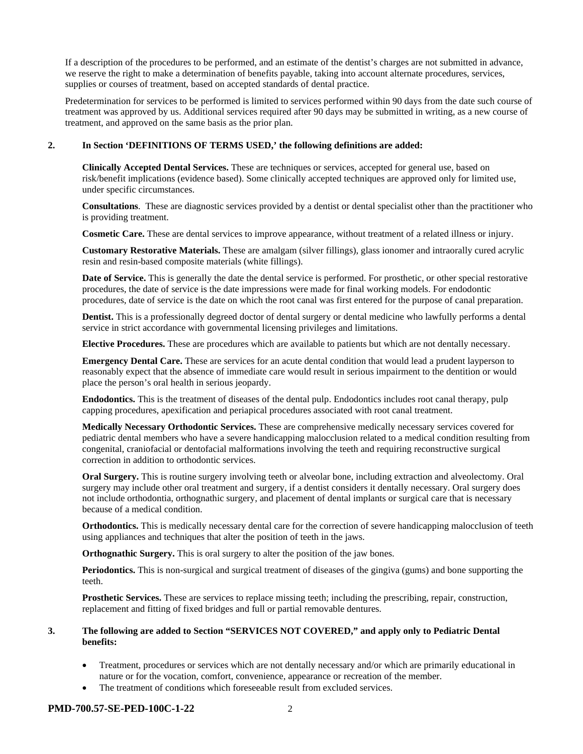If a description of the procedures to be performed, and an estimate of the dentist's charges are not submitted in advance, we reserve the right to make a determination of benefits payable, taking into account alternate procedures, services, supplies or courses of treatment, based on accepted standards of dental practice.

Predetermination for services to be performed is limited to services performed within 90 days from the date such course of treatment was approved by us. Additional services required after 90 days may be submitted in writing, as a new course of treatment, and approved on the same basis as the prior plan.

#### **2. In Section 'DEFINITIONS OF TERMS USED,' the following definitions are added:**

**Clinically Accepted Dental Services.** These are techniques or services, accepted for general use, based on risk/benefit implications (evidence based). Some clinically accepted techniques are approved only for limited use, under specific circumstances.

**Consultations**. These are diagnostic services provided by a dentist or dental specialist other than the practitioner who is providing treatment.

**Cosmetic Care.** These are dental services to improve appearance, without treatment of a related illness or injury.

**Customary Restorative Materials.** These are amalgam (silver fillings), glass ionomer and intraorally cured acrylic resin and resin-based composite materials (white fillings).

**Date of Service.** This is generally the date the dental service is performed. For prosthetic, or other special restorative procedures, the date of service is the date impressions were made for final working models. For endodontic procedures, date of service is the date on which the root canal was first entered for the purpose of canal preparation.

**Dentist.** This is a professionally degreed doctor of dental surgery or dental medicine who lawfully performs a dental service in strict accordance with governmental licensing privileges and limitations.

**Elective Procedures.** These are procedures which are available to patients but which are not dentally necessary.

**Emergency Dental Care.** These are services for an acute dental condition that would lead a prudent layperson to reasonably expect that the absence of immediate care would result in serious impairment to the dentition or would place the person's oral health in serious jeopardy.

**Endodontics.** This is the treatment of diseases of the dental pulp. Endodontics includes root canal therapy, pulp capping procedures, apexification and periapical procedures associated with root canal treatment.

**Medically Necessary Orthodontic Services.** These are comprehensive medically necessary services covered for pediatric dental members who have a severe handicapping malocclusion related to a medical condition resulting from congenital, craniofacial or dentofacial malformations involving the teeth and requiring reconstructive surgical correction in addition to orthodontic services.

**Oral Surgery.** This is routine surgery involving teeth or alveolar bone, including extraction and alveolectomy. Oral surgery may include other oral treatment and surgery, if a dentist considers it dentally necessary. Oral surgery does not include orthodontia, orthognathic surgery, and placement of dental implants or surgical care that is necessary because of a medical condition.

**Orthodontics.** This is medically necessary dental care for the correction of severe handicapping malocclusion of teeth using appliances and techniques that alter the position of teeth in the jaws.

**Orthognathic Surgery.** This is oral surgery to alter the position of the jaw bones.

**Periodontics.** This is non-surgical and surgical treatment of diseases of the gingiva (gums) and bone supporting the teeth.

**Prosthetic Services.** These are services to replace missing teeth; including the prescribing, repair, construction, replacement and fitting of fixed bridges and full or partial removable dentures.

#### **3. The following are added to Section "SERVICES NOT COVERED," and apply only to Pediatric Dental benefits:**

- Treatment, procedures or services which are not dentally necessary and/or which are primarily educational in nature or for the vocation, comfort, convenience, appearance or recreation of the member.
- The treatment of conditions which foreseeable result from excluded services.

#### **PMD-700.57-SE-PED-100C-1-22** 2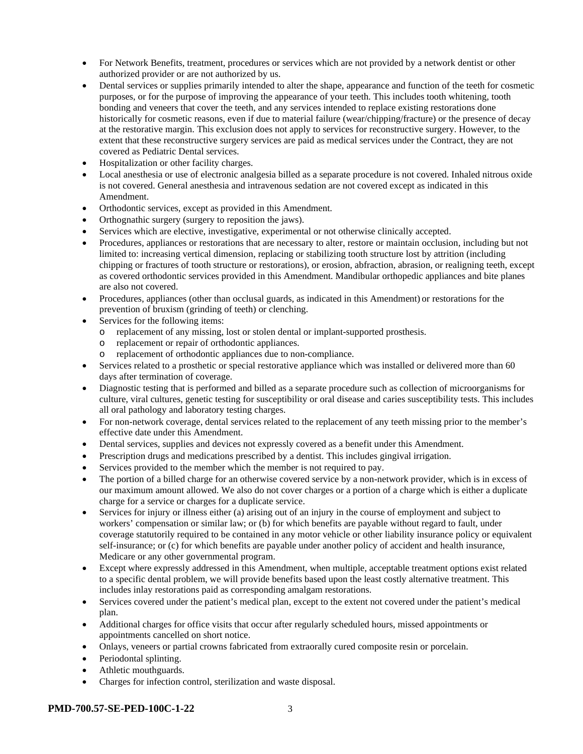- For Network Benefits, treatment, procedures or services which are not provided by a network dentist or other authorized provider or are not authorized by us.
- Dental services or supplies primarily intended to alter the shape, appearance and function of the teeth for cosmetic purposes, or for the purpose of improving the appearance of your teeth. This includes tooth whitening, tooth bonding and veneers that cover the teeth, and any services intended to replace existing restorations done historically for cosmetic reasons, even if due to material failure (wear/chipping/fracture) or the presence of decay at the restorative margin. This exclusion does not apply to services for reconstructive surgery. However, to the extent that these reconstructive surgery services are paid as medical services under the Contract, they are not covered as Pediatric Dental services.
- Hospitalization or other facility charges.
- Local anesthesia or use of electronic analgesia billed as a separate procedure is not covered. Inhaled nitrous oxide is not covered. General anesthesia and intravenous sedation are not covered except as indicated in this Amendment.
- Orthodontic services, except as provided in this Amendment.
- Orthognathic surgery (surgery to reposition the jaws).
- Services which are elective, investigative, experimental or not otherwise clinically accepted.
- Procedures, appliances or restorations that are necessary to alter, restore or maintain occlusion, including but not limited to: increasing vertical dimension, replacing or stabilizing tooth structure lost by attrition (including chipping or fractures of tooth structure or restorations), or erosion, abfraction, abrasion, or realigning teeth, except as covered orthodontic services provided in this Amendment. Mandibular orthopedic appliances and bite planes are also not covered.
- Procedures, appliances (other than occlusal guards, as indicated in this Amendment) or restorations for the prevention of bruxism (grinding of teeth) or clenching.
- Services for the following items:
	- o replacement of any missing, lost or stolen dental or implant-supported prosthesis.
	- o replacement or repair of orthodontic appliances.
	- o replacement of orthodontic appliances due to non-compliance.
- Services related to a prosthetic or special restorative appliance which was installed or delivered more than 60 days after termination of coverage.
- Diagnostic testing that is performed and billed as a separate procedure such as collection of microorganisms for culture, viral cultures, genetic testing for susceptibility or oral disease and caries susceptibility tests. This includes all oral pathology and laboratory testing charges.
- For non-network coverage, dental services related to the replacement of any teeth missing prior to the member's effective date under this Amendment.
- Dental services, supplies and devices not expressly covered as a benefit under this Amendment.
- Prescription drugs and medications prescribed by a dentist. This includes gingival irrigation.
- Services provided to the member which the member is not required to pay.
- The portion of a billed charge for an otherwise covered service by a non-network provider, which is in excess of our maximum amount allowed. We also do not cover charges or a portion of a charge which is either a duplicate charge for a service or charges for a duplicate service.
- Services for injury or illness either (a) arising out of an injury in the course of employment and subject to workers' compensation or similar law; or (b) for which benefits are payable without regard to fault, under coverage statutorily required to be contained in any motor vehicle or other liability insurance policy or equivalent self-insurance; or (c) for which benefits are payable under another policy of accident and health insurance, Medicare or any other governmental program.
- Except where expressly addressed in this Amendment, when multiple, acceptable treatment options exist related to a specific dental problem, we will provide benefits based upon the least costly alternative treatment. This includes inlay restorations paid as corresponding amalgam restorations.
- Services covered under the patient's medical plan, except to the extent not covered under the patient's medical plan.
- Additional charges for office visits that occur after regularly scheduled hours, missed appointments or appointments cancelled on short notice.
- Onlays, veneers or partial crowns fabricated from extraorally cured composite resin or porcelain.
- Periodontal splinting.
- Athletic mouthguards.
- Charges for infection control, sterilization and waste disposal.

#### **PMD-700.57-SE-PED-100C-1-22** 3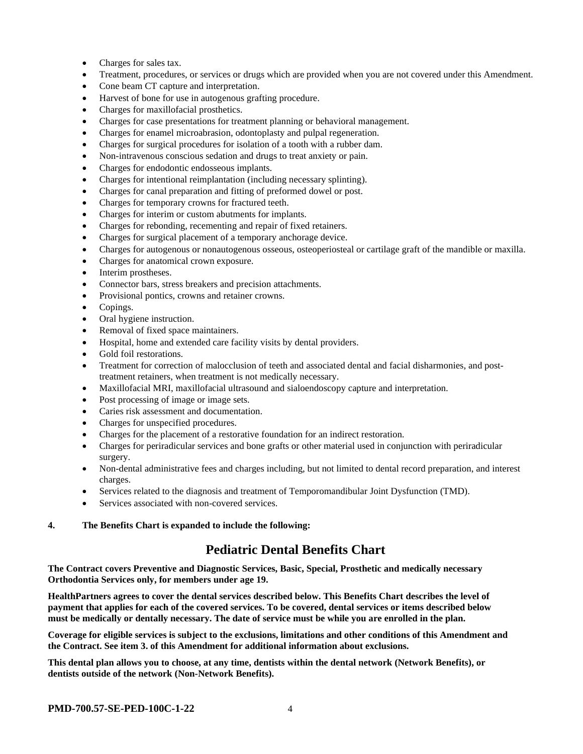- Charges for sales tax.
- Treatment, procedures, or services or drugs which are provided when you are not covered under this Amendment.
- Cone beam CT capture and interpretation.
- Harvest of bone for use in autogenous grafting procedure.
- Charges for maxillofacial prosthetics.
- Charges for case presentations for treatment planning or behavioral management.
- Charges for enamel microabrasion, odontoplasty and pulpal regeneration.
- Charges for surgical procedures for isolation of a tooth with a rubber dam.
- Non-intravenous conscious sedation and drugs to treat anxiety or pain.
- Charges for endodontic endosseous implants.
- Charges for intentional reimplantation (including necessary splinting).
- Charges for canal preparation and fitting of preformed dowel or post.
- Charges for temporary crowns for fractured teeth.
- Charges for interim or custom abutments for implants.
- Charges for rebonding, recementing and repair of fixed retainers.
- Charges for surgical placement of a temporary anchorage device.
- Charges for autogenous or nonautogenous osseous, osteoperiosteal or cartilage graft of the mandible or maxilla.
- Charges for anatomical crown exposure.
- Interim prostheses.
- Connector bars, stress breakers and precision attachments.
- Provisional pontics, crowns and retainer crowns.
- Copings.
- Oral hygiene instruction.
- Removal of fixed space maintainers.
- Hospital, home and extended care facility visits by dental providers.
- Gold foil restorations.
- Treatment for correction of malocclusion of teeth and associated dental and facial disharmonies, and posttreatment retainers, when treatment is not medically necessary.
- Maxillofacial MRI, maxillofacial ultrasound and sialoendoscopy capture and interpretation.
- Post processing of image or image sets.
- Caries risk assessment and documentation.
- Charges for unspecified procedures.
- Charges for the placement of a restorative foundation for an indirect restoration.
- Charges for periradicular services and bone grafts or other material used in conjunction with periradicular surgery.
- Non-dental administrative fees and charges including, but not limited to dental record preparation, and interest charges.
- Services related to the diagnosis and treatment of Temporomandibular Joint Dysfunction (TMD).
- Services associated with non-covered services.

#### **4. The Benefits Chart is expanded to include the following:**

# **Pediatric Dental Benefits Chart**

**The Contract covers Preventive and Diagnostic Services, Basic, Special, Prosthetic and medically necessary Orthodontia Services only, for members under age 19.**

**HealthPartners agrees to cover the dental services described below. This Benefits Chart describes the level of payment that applies for each of the covered services. To be covered, dental services or items described below must be medically or dentally necessary. The date of service must be while you are enrolled in the plan.**

**Coverage for eligible services is subject to the exclusions, limitations and other conditions of this Amendment and the Contract. See item 3. of this Amendment for additional information about exclusions.**

**This dental plan allows you to choose, at any time, dentists within the dental network (Network Benefits), or dentists outside of the network (Non-Network Benefits).**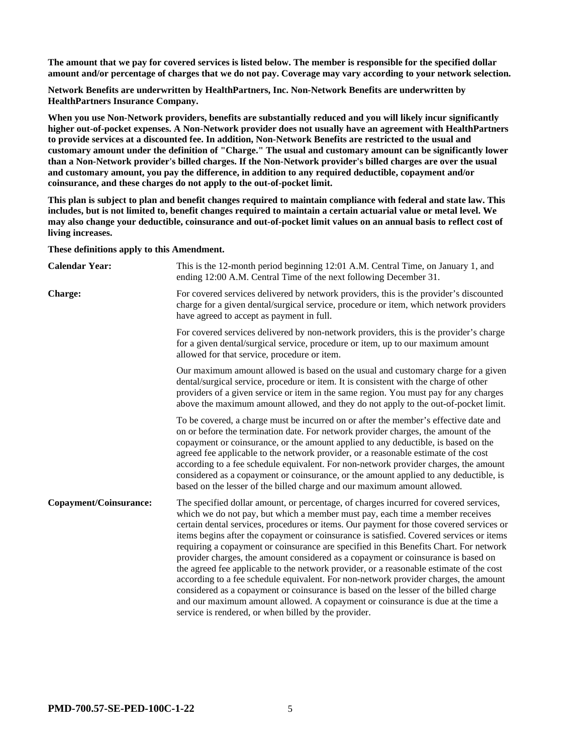**The amount that we pay for covered services is listed below. The member is responsible for the specified dollar amount and/or percentage of charges that we do not pay. Coverage may vary according to your network selection.**

**Network Benefits are underwritten by HealthPartners, Inc. Non-Network Benefits are underwritten by HealthPartners Insurance Company.**

**When you use Non-Network providers, benefits are substantially reduced and you will likely incur significantly higher out-of-pocket expenses. A Non-Network provider does not usually have an agreement with HealthPartners to provide services at a discounted fee. In addition, Non-Network Benefits are restricted to the usual and customary amount under the definition of "Charge." The usual and customary amount can be significantly lower than a Non-Network provider's billed charges. If the Non-Network provider's billed charges are over the usual and customary amount, you pay the difference, in addition to any required deductible, copayment and/or coinsurance, and these charges do not apply to the out-of-pocket limit.**

**This plan is subject to plan and benefit changes required to maintain compliance with federal and state law. This includes, but is not limited to, benefit changes required to maintain a certain actuarial value or metal level. We may also change your deductible, coinsurance and out-of-pocket limit values on an annual basis to reflect cost of living increases.**

**These definitions apply to this Amendment.**

| <b>Calendar Year:</b>         | This is the 12-month period beginning 12:01 A.M. Central Time, on January 1, and<br>ending 12:00 A.M. Central Time of the next following December 31.                                                                                                                                                                                                                                                                                                                                                                                                                                                                                                                                                                                                                                                                                                                                                                                                             |
|-------------------------------|-------------------------------------------------------------------------------------------------------------------------------------------------------------------------------------------------------------------------------------------------------------------------------------------------------------------------------------------------------------------------------------------------------------------------------------------------------------------------------------------------------------------------------------------------------------------------------------------------------------------------------------------------------------------------------------------------------------------------------------------------------------------------------------------------------------------------------------------------------------------------------------------------------------------------------------------------------------------|
| <b>Charge:</b>                | For covered services delivered by network providers, this is the provider's discounted<br>charge for a given dental/surgical service, procedure or item, which network providers<br>have agreed to accept as payment in full.                                                                                                                                                                                                                                                                                                                                                                                                                                                                                                                                                                                                                                                                                                                                     |
|                               | For covered services delivered by non-network providers, this is the provider's charge<br>for a given dental/surgical service, procedure or item, up to our maximum amount<br>allowed for that service, procedure or item.                                                                                                                                                                                                                                                                                                                                                                                                                                                                                                                                                                                                                                                                                                                                        |
|                               | Our maximum amount allowed is based on the usual and customary charge for a given<br>dental/surgical service, procedure or item. It is consistent with the charge of other<br>providers of a given service or item in the same region. You must pay for any charges<br>above the maximum amount allowed, and they do not apply to the out-of-pocket limit.                                                                                                                                                                                                                                                                                                                                                                                                                                                                                                                                                                                                        |
|                               | To be covered, a charge must be incurred on or after the member's effective date and<br>on or before the termination date. For network provider charges, the amount of the<br>copayment or coinsurance, or the amount applied to any deductible, is based on the<br>agreed fee applicable to the network provider, or a reasonable estimate of the cost<br>according to a fee schedule equivalent. For non-network provider charges, the amount<br>considered as a copayment or coinsurance, or the amount applied to any deductible, is<br>based on the lesser of the billed charge and our maximum amount allowed.                                                                                                                                                                                                                                                                                                                                              |
| <b>Copayment/Coinsurance:</b> | The specified dollar amount, or percentage, of charges incurred for covered services,<br>which we do not pay, but which a member must pay, each time a member receives<br>certain dental services, procedures or items. Our payment for those covered services or<br>items begins after the copayment or coinsurance is satisfied. Covered services or items<br>requiring a copayment or coinsurance are specified in this Benefits Chart. For network<br>provider charges, the amount considered as a copayment or coinsurance is based on<br>the agreed fee applicable to the network provider, or a reasonable estimate of the cost<br>according to a fee schedule equivalent. For non-network provider charges, the amount<br>considered as a copayment or coinsurance is based on the lesser of the billed charge<br>and our maximum amount allowed. A copayment or coinsurance is due at the time a<br>service is rendered, or when billed by the provider. |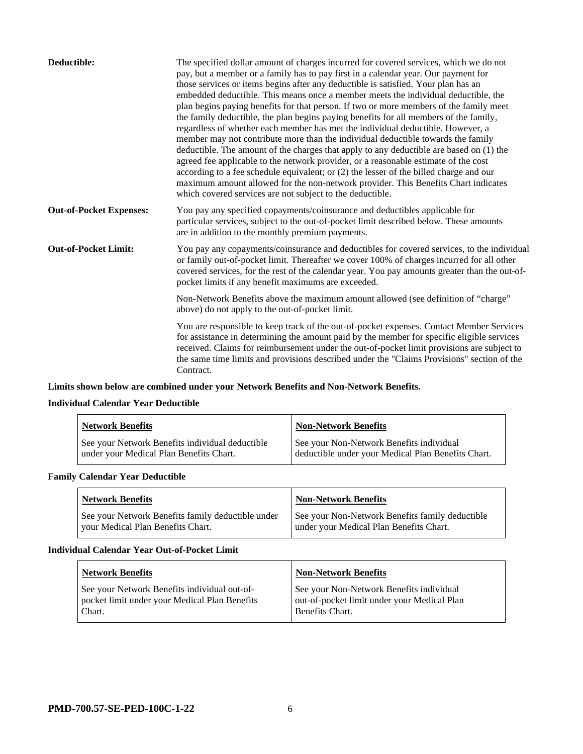| Deductible:                    | The specified dollar amount of charges incurred for covered services, which we do not<br>pay, but a member or a family has to pay first in a calendar year. Our payment for<br>those services or items begins after any deductible is satisfied. Your plan has an<br>embedded deductible. This means once a member meets the individual deductible, the<br>plan begins paying benefits for that person. If two or more members of the family meet<br>the family deductible, the plan begins paying benefits for all members of the family,<br>regardless of whether each member has met the individual deductible. However, a<br>member may not contribute more than the individual deductible towards the family<br>deductible. The amount of the charges that apply to any deductible are based on (1) the<br>agreed fee applicable to the network provider, or a reasonable estimate of the cost<br>according to a fee schedule equivalent; or (2) the lesser of the billed charge and our<br>maximum amount allowed for the non-network provider. This Benefits Chart indicates<br>which covered services are not subject to the deductible. |
|--------------------------------|--------------------------------------------------------------------------------------------------------------------------------------------------------------------------------------------------------------------------------------------------------------------------------------------------------------------------------------------------------------------------------------------------------------------------------------------------------------------------------------------------------------------------------------------------------------------------------------------------------------------------------------------------------------------------------------------------------------------------------------------------------------------------------------------------------------------------------------------------------------------------------------------------------------------------------------------------------------------------------------------------------------------------------------------------------------------------------------------------------------------------------------------------|
| <b>Out-of-Pocket Expenses:</b> | You pay any specified copayments/coinsurance and deductibles applicable for<br>particular services, subject to the out-of-pocket limit described below. These amounts<br>are in addition to the monthly premium payments.                                                                                                                                                                                                                                                                                                                                                                                                                                                                                                                                                                                                                                                                                                                                                                                                                                                                                                                        |
| <b>Out-of-Pocket Limit:</b>    | You pay any copayments/coinsurance and deductibles for covered services, to the individual<br>or family out-of-pocket limit. Thereafter we cover 100% of charges incurred for all other<br>covered services, for the rest of the calendar year. You pay amounts greater than the out-of-<br>pocket limits if any benefit maximums are exceeded.                                                                                                                                                                                                                                                                                                                                                                                                                                                                                                                                                                                                                                                                                                                                                                                                  |
|                                | Non-Network Benefits above the maximum amount allowed (see definition of "charge"<br>above) do not apply to the out-of-pocket limit.                                                                                                                                                                                                                                                                                                                                                                                                                                                                                                                                                                                                                                                                                                                                                                                                                                                                                                                                                                                                             |
|                                | You are responsible to keep track of the out-of-pocket expenses. Contact Member Services<br>for assistance in determining the amount paid by the member for specific eligible services<br>received. Claims for reimbursement under the out-of-pocket limit provisions are subject to<br>the same time limits and provisions described under the "Claims Provisions" section of the<br>Contract.                                                                                                                                                                                                                                                                                                                                                                                                                                                                                                                                                                                                                                                                                                                                                  |

# **Limits shown below are combined under your Network Benefits and Non-Network Benefits.**

# **Individual Calendar Year Deductible**

| <b>Network Benefits</b>                                                                    | Non-Network Benefits                                                                           |
|--------------------------------------------------------------------------------------------|------------------------------------------------------------------------------------------------|
| See your Network Benefits individual deductible<br>under your Medical Plan Benefits Chart. | See your Non-Network Benefits individual<br>deductible under your Medical Plan Benefits Chart. |

# **Family Calendar Year Deductible**

| <b>Network Benefits</b>                                                                | <b>Non-Network Benefits</b>                                                                |
|----------------------------------------------------------------------------------------|--------------------------------------------------------------------------------------------|
| See your Network Benefits family deductible under<br>vour Medical Plan Benefits Chart. | See your Non-Network Benefits family deductible<br>under your Medical Plan Benefits Chart. |

#### **Individual Calendar Year Out-of-Pocket Limit**

| <b>Network Benefits</b>                                                                                 | <b>Non-Network Benefits</b>                                                                                |
|---------------------------------------------------------------------------------------------------------|------------------------------------------------------------------------------------------------------------|
| See your Network Benefits individual out-of-<br>pocket limit under your Medical Plan Benefits<br>Chart. | See your Non-Network Benefits individual<br>out-of-pocket limit under your Medical Plan<br>Benefits Chart. |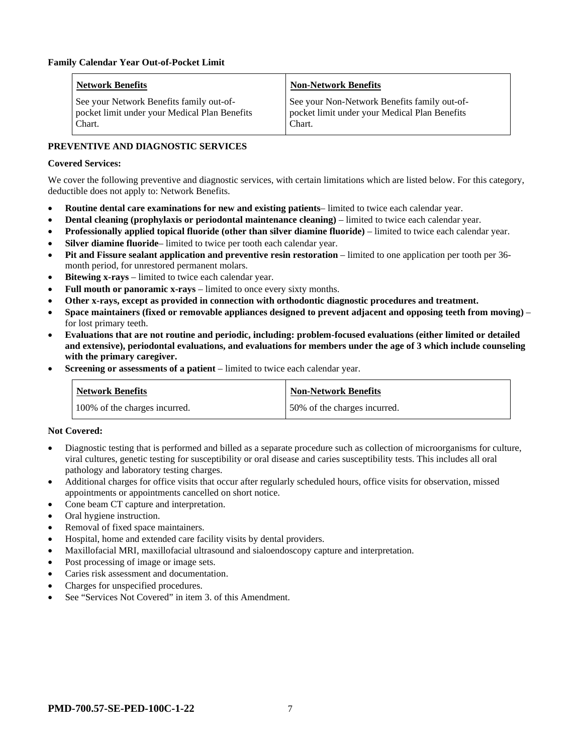| <b>Network Benefits</b>                                                                             | <b>Non-Network Benefits</b>                                                                             |
|-----------------------------------------------------------------------------------------------------|---------------------------------------------------------------------------------------------------------|
| See your Network Benefits family out-of-<br>pocket limit under your Medical Plan Benefits<br>Chart. | See your Non-Network Benefits family out-of-<br>pocket limit under your Medical Plan Benefits<br>Chart. |

# **PREVENTIVE AND DIAGNOSTIC SERVICES**

#### **Covered Services:**

We cover the following preventive and diagnostic services, with certain limitations which are listed below. For this category, deductible does not apply to: Network Benefits.

- **Routine dental care examinations for new and existing patients** limited to twice each calendar year.
- **Dental cleaning (prophylaxis or periodontal maintenance cleaning)** limited to twice each calendar year.
- **Professionally applied topical fluoride (other than silver diamine fluoride)** limited to twice each calendar year.
- **Silver diamine fluoride** limited to twice per tooth each calendar year.
- **Pit and Fissure sealant application and preventive resin restoration** limited to one application per tooth per 36 month period, for unrestored permanent molars.
- **Bitewing x-rays** limited to twice each calendar year.
- **Full mouth or panoramic x-rays** limited to once every sixty months.
- **Other x-rays, except as provided in connection with orthodontic diagnostic procedures and treatment.**
- **Space maintainers (fixed or removable appliances designed to prevent adjacent and opposing teeth from moving)** for lost primary teeth.
- **Evaluations that are not routine and periodic, including: problem-focused evaluations (either limited or detailed and extensive), periodontal evaluations, and evaluations for members under the age of 3 which include counseling with the primary caregiver.**
- **Screening or assessments of a patient** limited to twice each calendar year.

| <b>Network Benefits</b>       | <b>Non-Network Benefits</b>  |
|-------------------------------|------------------------------|
| 100% of the charges incurred. | 50% of the charges incurred. |

#### **Not Covered:**

- Diagnostic testing that is performed and billed as a separate procedure such as collection of microorganisms for culture, viral cultures, genetic testing for susceptibility or oral disease and caries susceptibility tests. This includes all oral pathology and laboratory testing charges.
- Additional charges for office visits that occur after regularly scheduled hours, office visits for observation, missed appointments or appointments cancelled on short notice.
- Cone beam CT capture and interpretation.
- Oral hygiene instruction.
- Removal of fixed space maintainers.
- Hospital, home and extended care facility visits by dental providers.
- Maxillofacial MRI, maxillofacial ultrasound and sialoendoscopy capture and interpretation.
- Post processing of image or image sets.
- Caries risk assessment and documentation.
- Charges for unspecified procedures.
- See "Services Not Covered" in item 3. of this Amendment.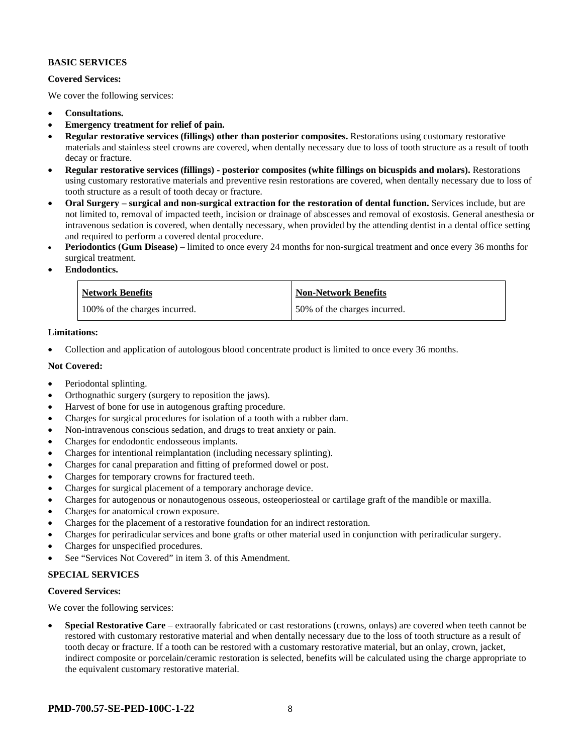#### **BASIC SERVICES**

#### **Covered Services:**

We cover the following services:

- **Consultations.**
- **Emergency treatment for relief of pain.**
- **Regular restorative services (fillings) other than posterior composites.** Restorations using customary restorative materials and stainless steel crowns are covered, when dentally necessary due to loss of tooth structure as a result of tooth decay or fracture.
- **Regular restorative services (fillings) - posterior composites (white fillings on bicuspids and molars).** Restorations using customary restorative materials and preventive resin restorations are covered, when dentally necessary due to loss of tooth structure as a result of tooth decay or fracture.
- **Oral Surgery – surgical and non-surgical extraction for the restoration of dental function.** Services include, but are not limited to, removal of impacted teeth, incision or drainage of abscesses and removal of exostosis. General anesthesia or intravenous sedation is covered, when dentally necessary, when provided by the attending dentist in a dental office setting and required to perform a covered dental procedure.
- **Periodontics (Gum Disease)** limited to once every 24 months for non-surgical treatment and once every 36 months for surgical treatment.
- **Endodontics.**

| <b>Network Benefits</b>       | <b>Non-Network Benefits</b>  |
|-------------------------------|------------------------------|
| 100% of the charges incurred. | 50% of the charges incurred. |

#### **Limitations:**

• Collection and application of autologous blood concentrate product is limited to once every 36 months.

#### **Not Covered:**

- Periodontal splinting.
- Orthognathic surgery (surgery to reposition the jaws).
- Harvest of bone for use in autogenous grafting procedure.
- Charges for surgical procedures for isolation of a tooth with a rubber dam.
- Non-intravenous conscious sedation, and drugs to treat anxiety or pain.
- Charges for endodontic endosseous implants.
- Charges for intentional reimplantation (including necessary splinting).
- Charges for canal preparation and fitting of preformed dowel or post.
- Charges for temporary crowns for fractured teeth.
- Charges for surgical placement of a temporary anchorage device.
- Charges for autogenous or nonautogenous osseous, osteoperiosteal or cartilage graft of the mandible or maxilla.
- Charges for anatomical crown exposure.
- Charges for the placement of a restorative foundation for an indirect restoration.
- Charges for periradicular services and bone grafts or other material used in conjunction with periradicular surgery.
- Charges for unspecified procedures.
- See "Services Not Covered" in item 3. of this Amendment.

#### **SPECIAL SERVICES**

#### **Covered Services:**

We cover the following services:

• **Special Restorative Care** – extraorally fabricated or cast restorations (crowns, onlays) are covered when teeth cannot be restored with customary restorative material and when dentally necessary due to the loss of tooth structure as a result of tooth decay or fracture. If a tooth can be restored with a customary restorative material, but an onlay, crown, jacket, indirect composite or porcelain/ceramic restoration is selected, benefits will be calculated using the charge appropriate to the equivalent customary restorative material.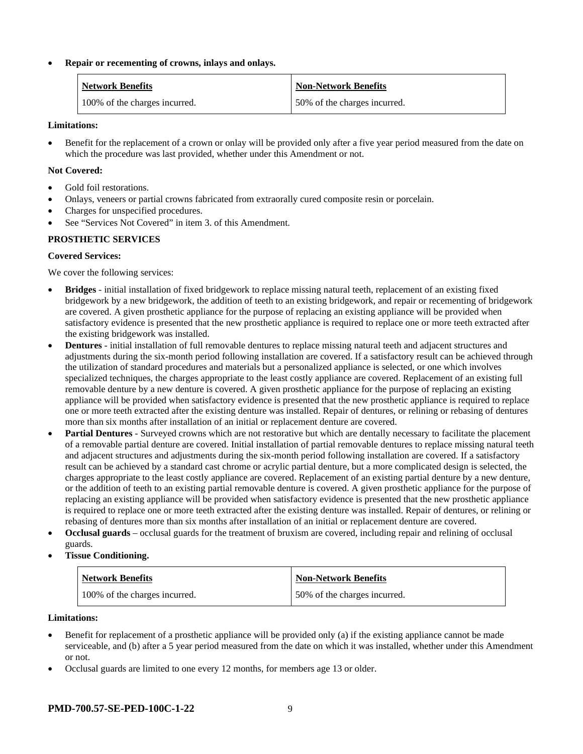#### • **Repair or recementing of crowns, inlays and onlays.**

| <b>Network Benefits</b>       | <b>Non-Network Benefits</b>  |
|-------------------------------|------------------------------|
| 100% of the charges incurred. | 50% of the charges incurred. |

#### **Limitations:**

• Benefit for the replacement of a crown or onlay will be provided only after a five year period measured from the date on which the procedure was last provided, whether under this Amendment or not.

#### **Not Covered:**

- Gold foil restorations.
- Onlays, veneers or partial crowns fabricated from extraorally cured composite resin or porcelain.
- Charges for unspecified procedures.
- See "Services Not Covered" in item 3. of this Amendment.

# **PROSTHETIC SERVICES**

# **Covered Services:**

We cover the following services:

- **Bridges** initial installation of fixed bridgework to replace missing natural teeth, replacement of an existing fixed bridgework by a new bridgework, the addition of teeth to an existing bridgework, and repair or recementing of bridgework are covered. A given prosthetic appliance for the purpose of replacing an existing appliance will be provided when satisfactory evidence is presented that the new prosthetic appliance is required to replace one or more teeth extracted after the existing bridgework was installed.
- **Dentures** initial installation of full removable dentures to replace missing natural teeth and adjacent structures and adjustments during the six-month period following installation are covered. If a satisfactory result can be achieved through the utilization of standard procedures and materials but a personalized appliance is selected, or one which involves specialized techniques, the charges appropriate to the least costly appliance are covered. Replacement of an existing full removable denture by a new denture is covered. A given prosthetic appliance for the purpose of replacing an existing appliance will be provided when satisfactory evidence is presented that the new prosthetic appliance is required to replace one or more teeth extracted after the existing denture was installed. Repair of dentures, or relining or rebasing of dentures more than six months after installation of an initial or replacement denture are covered.
- **Partial Dentures** Surveyed crowns which are not restorative but which are dentally necessary to facilitate the placement of a removable partial denture are covered. Initial installation of partial removable dentures to replace missing natural teeth and adjacent structures and adjustments during the six-month period following installation are covered. If a satisfactory result can be achieved by a standard cast chrome or acrylic partial denture, but a more complicated design is selected, the charges appropriate to the least costly appliance are covered. Replacement of an existing partial denture by a new denture, or the addition of teeth to an existing partial removable denture is covered. A given prosthetic appliance for the purpose of replacing an existing appliance will be provided when satisfactory evidence is presented that the new prosthetic appliance is required to replace one or more teeth extracted after the existing denture was installed. Repair of dentures, or relining or rebasing of dentures more than six months after installation of an initial or replacement denture are covered.
- **Occlusal guards** occlusal guards for the treatment of bruxism are covered, including repair and relining of occlusal guards.
- **Tissue Conditioning.**

| <b>Network Benefits</b>       | <b>Non-Network Benefits</b>  |
|-------------------------------|------------------------------|
| 100% of the charges incurred. | 50% of the charges incurred. |

#### **Limitations:**

- Benefit for replacement of a prosthetic appliance will be provided only (a) if the existing appliance cannot be made serviceable, and (b) after a 5 year period measured from the date on which it was installed, whether under this Amendment or not.
- Occlusal guards are limited to one every 12 months, for members age 13 or older.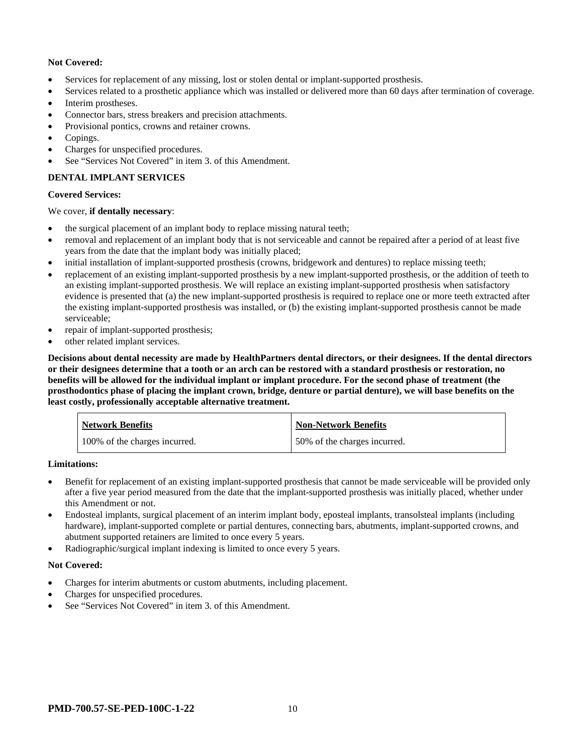# **Not Covered:**

- Services for replacement of any missing, lost or stolen dental or implant-supported prosthesis.
- Services related to a prosthetic appliance which was installed or delivered more than 60 days after termination of coverage.
- Interim prostheses.
- Connector bars, stress breakers and precision attachments.
- Provisional pontics, crowns and retainer crowns.
- Copings.
- Charges for unspecified procedures.
- See "Services Not Covered" in item 3. of this Amendment.

# **DENTAL IMPLANT SERVICES**

#### **Covered Services:**

#### We cover, **if dentally necessary**:

- the surgical placement of an implant body to replace missing natural teeth;
- removal and replacement of an implant body that is not serviceable and cannot be repaired after a period of at least five years from the date that the implant body was initially placed;
- initial installation of implant-supported prosthesis (crowns, bridgework and dentures) to replace missing teeth;
- replacement of an existing implant-supported prosthesis by a new implant-supported prosthesis, or the addition of teeth to an existing implant-supported prosthesis. We will replace an existing implant-supported prosthesis when satisfactory evidence is presented that (a) the new implant-supported prosthesis is required to replace one or more teeth extracted after the existing implant-supported prosthesis was installed, or (b) the existing implant-supported prosthesis cannot be made serviceable;
- repair of implant-supported prosthesis;
- other related implant services.

**Decisions about dental necessity are made by HealthPartners dental directors, or their designees. If the dental directors or their designees determine that a tooth or an arch can be restored with a standard prosthesis or restoration, no benefits will be allowed for the individual implant or implant procedure. For the second phase of treatment (the prosthodontics phase of placing the implant crown, bridge, denture or partial denture), we will base benefits on the least costly, professionally acceptable alternative treatment.**

| <b>Network Benefits</b>       | <b>Non-Network Benefits</b>  |
|-------------------------------|------------------------------|
| 100% of the charges incurred. | 50% of the charges incurred. |

#### **Limitations:**

- Benefit for replacement of an existing implant-supported prosthesis that cannot be made serviceable will be provided only after a five year period measured from the date that the implant-supported prosthesis was initially placed, whether under this Amendment or not.
- Endosteal implants, surgical placement of an interim implant body, eposteal implants, transolsteal implants (including hardware), implant-supported complete or partial dentures, connecting bars, abutments, implant-supported crowns, and abutment supported retainers are limited to once every 5 years.
- Radiographic/surgical implant indexing is limited to once every 5 years.

#### **Not Covered:**

- Charges for interim abutments or custom abutments, including placement.
- Charges for unspecified procedures.
- See "Services Not Covered" in item 3. of this Amendment.